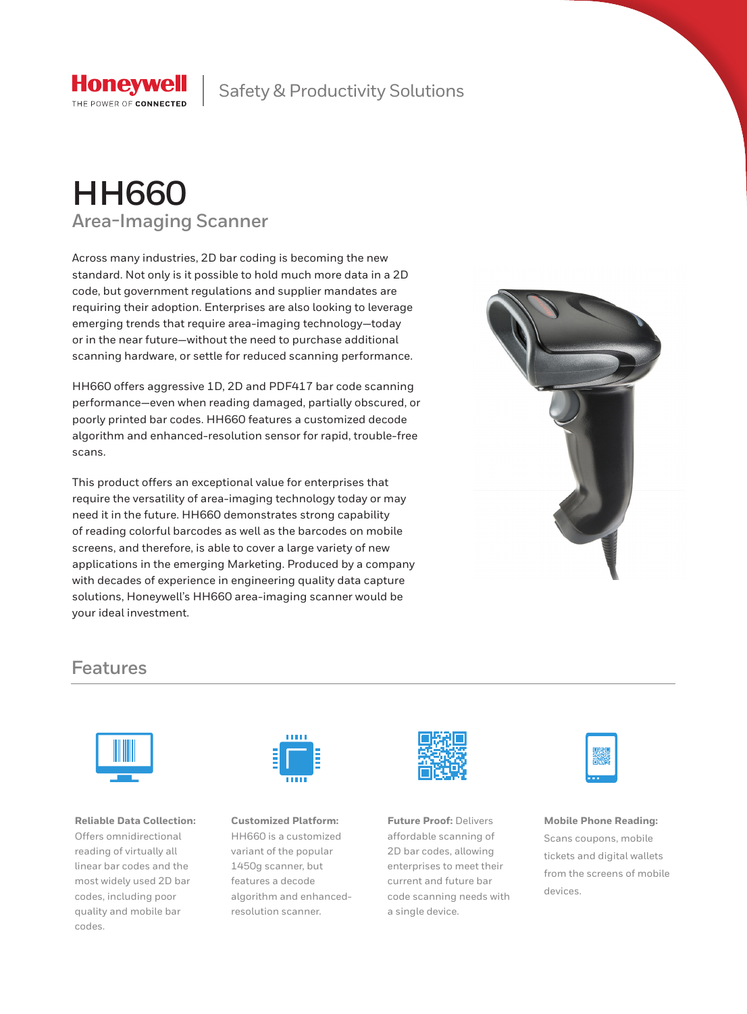

Safety & Productivity Solutions

# **HH660 Area-Imaging Scanner**

Across many industries, 2D bar coding is becoming the new standard. Not only is it possible to hold much more data in a 2D code, but government regulations and supplier mandates are requiring their adoption. Enterprises are also looking to leverage emerging trends that require area-imaging technology—today or in the near future—without the need to purchase additional scanning hardware, or settle for reduced scanning performance.

HH660 offers aggressive 1D, 2D and PDF417 bar code scanning performance—even when reading damaged, partially obscured, or poorly printed bar codes. HH660 features a customized decode algorithm and enhanced-resolution sensor for rapid, trouble-free scans.

This product offers an exceptional value for enterprises that require the versatility of area-imaging technology today or may need it in the future. HH660 demonstrates strong capability of reading colorful barcodes as well as the barcodes on mobile screens, and therefore, is able to cover a large variety of new applications in the emerging Marketing. Produced by a company with decades of experience in engineering quality data capture solutions, Honeywell's HH660 area-imaging scanner would be your ideal investment.



### **Features**



**Reliable Data Collection:**  Offers omnidirectional reading of virtually all linear bar codes and the most widely used 2D bar codes, including poor quality and mobile bar codes.



**Customized Platform:**  HH660 is a customized variant of the popular 1450g scanner, but features a decode algorithm and enhancedresolution scanner.



**Future Proof:** Delivers affordable scanning of 2D bar codes, allowing enterprises to meet their current and future bar code scanning needs with a single device.



**Mobile Phone Reading:**  Scans coupons, mobile tickets and digital wallets from the screens of mobile devices.